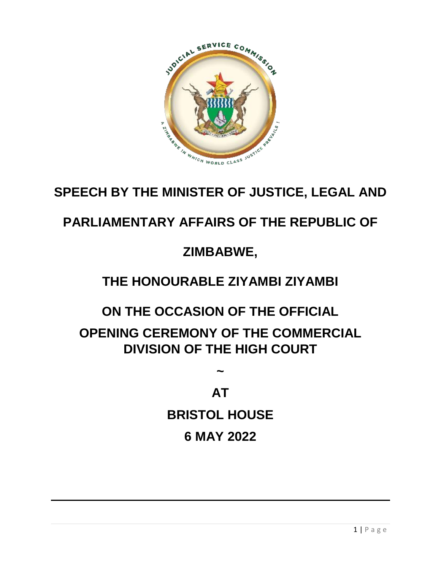

# **SPEECH BY THE MINISTER OF JUSTICE, LEGAL AND**

# **PARLIAMENTARY AFFAIRS OF THE REPUBLIC OF**

### **ZIMBABWE,**

# **THE HONOURABLE ZIYAMBI ZIYAMBI**

#### **ON THE OCCASION OF THE OFFICIAL**

# **OPENING CEREMONY OF THE COMMERCIAL DIVISION OF THE HIGH COURT**

# **AT**

**~**

#### **BRISTOL HOUSE**

#### **6 MAY 2022**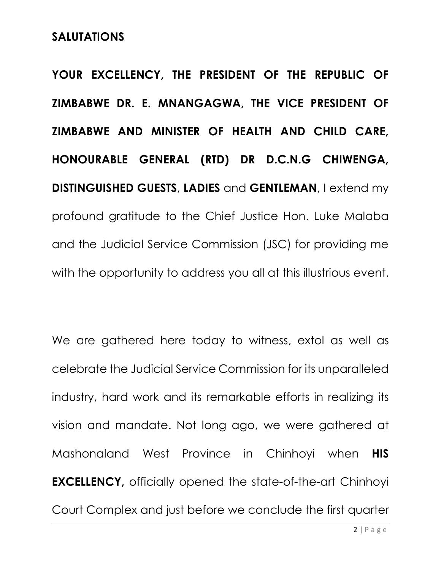#### **SALUTATIONS**

**YOUR EXCELLENCY, THE PRESIDENT OF THE REPUBLIC OF ZIMBABWE DR. E. MNANGAGWA, THE VICE PRESIDENT OF ZIMBABWE AND MINISTER OF HEALTH AND CHILD CARE, HONOURABLE GENERAL (RTD) DR D.C.N.G CHIWENGA, DISTINGUISHED GUESTS**, **LADIES** and **GENTLEMAN**, I extend my profound gratitude to the Chief Justice Hon. Luke Malaba and the Judicial Service Commission (JSC) for providing me with the opportunity to address you all at this illustrious event.

We are gathered here today to witness, extol as well as celebrate the Judicial Service Commission for its unparalleled industry, hard work and its remarkable efforts in realizing its vision and mandate. Not long ago, we were gathered at Mashonaland West Province in Chinhoyi when **HIS EXCELLENCY,** officially opened the state-of-the-art Chinhoyi Court Complex and just before we conclude the first quarter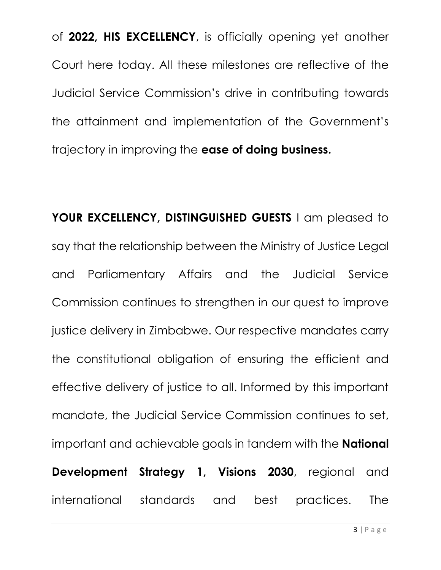of **2022, HIS EXCELLENCY**, is officially opening yet another Court here today. All these milestones are reflective of the Judicial Service Commission's drive in contributing towards the attainment and implementation of the Government's trajectory in improving the **ease of doing business.**

YOUR EXCELLENCY, DISTINGUISHED GUESTS I am pleased to say that the relationship between the Ministry of Justice Legal and Parliamentary Affairs and the Judicial Service Commission continues to strengthen in our quest to improve justice delivery in Zimbabwe. Our respective mandates carry the constitutional obligation of ensuring the efficient and effective delivery of justice to all. Informed by this important mandate, the Judicial Service Commission continues to set, important and achievable goals in tandem with the **National Development Strategy 1, Visions 2030**, regional and international standards and best practices. The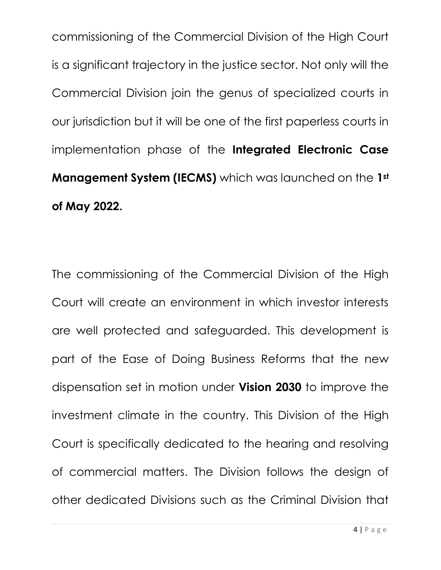commissioning of the Commercial Division of the High Court is a significant trajectory in the justice sector. Not only will the Commercial Division join the genus of specialized courts in our jurisdiction but it will be one of the first paperless courts in implementation phase of the **Integrated Electronic Case Management System (IECMS)** which was launched on the **1st of May 2022.**

The commissioning of the Commercial Division of the High Court will create an environment in which investor interests are well protected and safeguarded. This development is part of the Ease of Doing Business Reforms that the new dispensation set in motion under **Vision 2030** to improve the investment climate in the country. This Division of the High Court is specifically dedicated to the hearing and resolving of commercial matters. The Division follows the design of other dedicated Divisions such as the Criminal Division that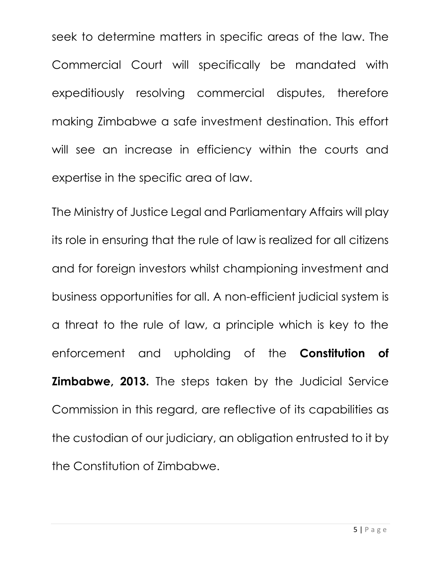seek to determine matters in specific areas of the law. The Commercial Court will specifically be mandated with expeditiously resolving commercial disputes, therefore making Zimbabwe a safe investment destination. This effort will see an increase in efficiency within the courts and expertise in the specific area of law.

The Ministry of Justice Legal and Parliamentary Affairs will play its role in ensuring that the rule of law is realized for all citizens and for foreign investors whilst championing investment and business opportunities for all. A non-efficient judicial system is a threat to the rule of law, a principle which is key to the enforcement and upholding of the **Constitution of Zimbabwe, 2013.** The steps taken by the Judicial Service Commission in this regard, are reflective of its capabilities as the custodian of our judiciary, an obligation entrusted to it by the Constitution of Zimbabwe.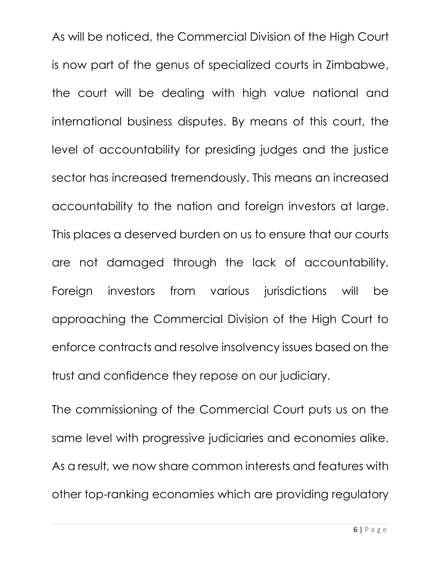As will be noticed, the Commercial Division of the High Court is now part of the genus of specialized courts in Zimbabwe, the court will be dealing with high value national and international business disputes. By means of this court, the level of accountability for presiding judges and the justice sector has increased tremendously. This means an increased accountability to the nation and foreign investors at large. This places a deserved burden on us to ensure that our courts are not damaged through the lack of accountability. Foreign investors from various jurisdictions will be approaching the Commercial Division of the High Court to enforce contracts and resolve insolvency issues based on the trust and confidence they repose on our judiciary.

The commissioning of the Commercial Court puts us on the same level with progressive judiciaries and economies alike. As a result, we now share common interests and features with other top-ranking economies which are providing regulatory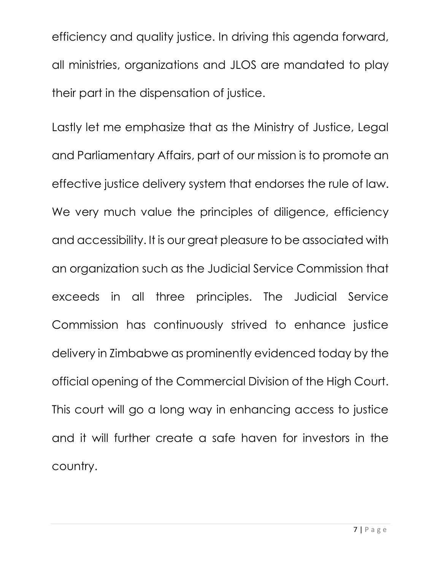efficiency and quality justice. In driving this agenda forward, all ministries, organizations and JLOS are mandated to play their part in the dispensation of justice.

Lastly let me emphasize that as the Ministry of Justice, Legal and Parliamentary Affairs, part of our mission is to promote an effective justice delivery system that endorses the rule of law. We very much value the principles of diligence, efficiency and accessibility. It is our great pleasure to be associated with an organization such as the Judicial Service Commission that exceeds in all three principles. The Judicial Service Commission has continuously strived to enhance justice delivery in Zimbabwe as prominently evidenced today by the official opening of the Commercial Division of the High Court. This court will go a long way in enhancing access to justice and it will further create a safe haven for investors in the country.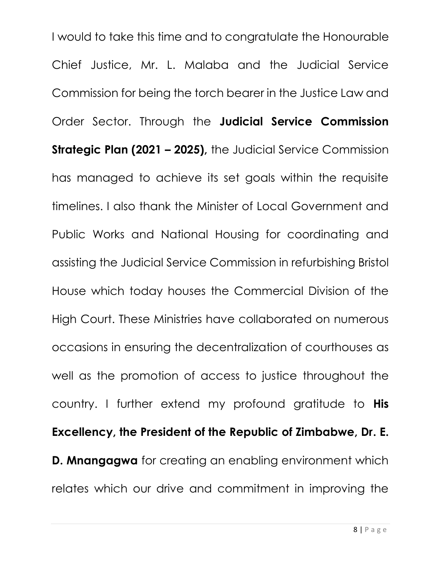I would to take this time and to congratulate the Honourable Chief Justice, Mr. L. Malaba and the Judicial Service Commission for being the torch bearer in the Justice Law and Order Sector. Through the **Judicial Service Commission Strategic Plan (2021 – 2025),** the Judicial Service Commission has managed to achieve its set goals within the requisite timelines. I also thank the Minister of Local Government and Public Works and National Housing for coordinating and assisting the Judicial Service Commission in refurbishing Bristol House which today houses the Commercial Division of the High Court. These Ministries have collaborated on numerous occasions in ensuring the decentralization of courthouses as well as the promotion of access to justice throughout the country. I further extend my profound gratitude to **His Excellency, the President of the Republic of Zimbabwe, Dr. E. D. Mnangagwa** for creating an enabling environment which relates which our drive and commitment in improving the